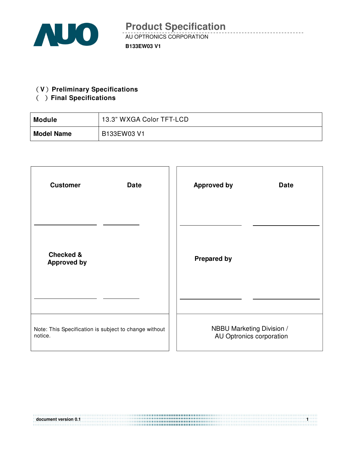

#### **(V)** Preliminary Specifications

## ( ) Final Specifications

| <b>Module</b>     | 13.3" WXGA Color TFT-LCD |
|-------------------|--------------------------|
| <b>Model Name</b> | B133EW03 V1              |

| <b>Customer</b>                                       | <b>Approved by</b>        |
|-------------------------------------------------------|---------------------------|
| <b>Date</b>                                           | <b>Date</b>               |
| <b>Checked &amp;</b><br><b>Approved by</b>            | <b>Prepared by</b>        |
|                                                       |                           |
| Note: This Specification is subject to change without | NBBU Marketing Division / |
| notice.                                               | AU Optronics corporation  |

**document version 0.1 1**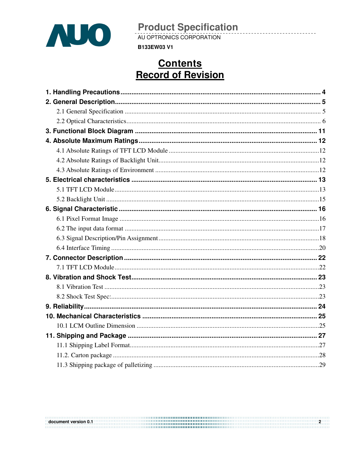

AU OPTRONICS CORPORATION

**B133EW03 V1** 

## **Contents Record of Revision**

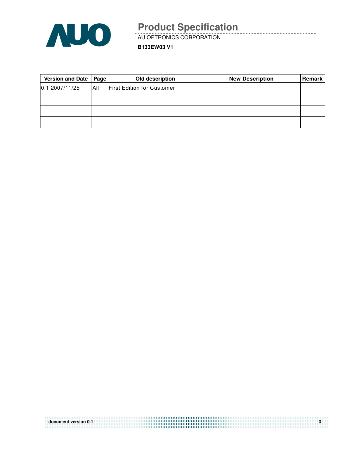

AU OPTRONICS CORPORATION

**B133EW03 V1**

| Version and Date   Page |     | Old description                   | <b>New Description</b> | <b>Remark</b> |
|-------------------------|-----|-----------------------------------|------------------------|---------------|
| 0.12007/11/25           | All | <b>First Edition for Customer</b> |                        |               |
|                         |     |                                   |                        |               |
|                         |     |                                   |                        |               |
|                         |     |                                   |                        |               |

| document version 0.1 |  |
|----------------------|--|
|                      |  |
|                      |  |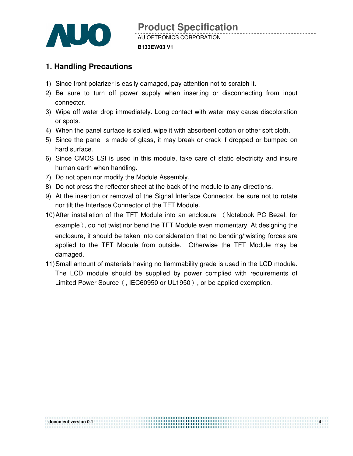

## **1. Handling Precautions**

- 1) Since front polarizer is easily damaged, pay attention not to scratch it.
- 2) Be sure to turn off power supply when inserting or disconnecting from input connector.
- 3) Wipe off water drop immediately. Long contact with water may cause discoloration or spots.
- 4) When the panel surface is soiled, wipe it with absorbent cotton or other soft cloth.
- 5) Since the panel is made of glass, it may break or crack if dropped or bumped on hard surface.
- 6) Since CMOS LSI is used in this module, take care of static electricity and insure human earth when handling.
- 7) Do not open nor modify the Module Assembly.
- 8) Do not press the reflector sheet at the back of the module to any directions.
- 9) At the insertion or removal of the Signal Interface Connector, be sure not to rotate nor tilt the Interface Connector of the TFT Module.
- 10) After installation of the TFT Module into an enclosure (Notebook PC Bezel, for example), do not twist nor bend the TFT Module even momentary. At designing the enclosure, it should be taken into consideration that no bending/twisting forces are applied to the TFT Module from outside. Otherwise the TFT Module may be damaged.
- 11) Small amount of materials having no flammability grade is used in the LCD module. The LCD module should be supplied by power complied with requirements of Limited Power Source (, IEC60950 or UL1950), or be applied exemption.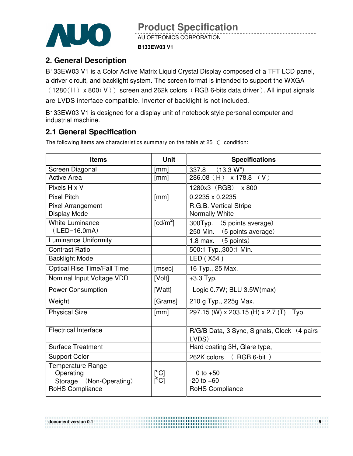

AU OPTRONICS CORPORATION

#### **B133EW03 V1**

### **2. General Description**

B133EW03 V1 is a Color Active Matrix Liquid Crystal Display composed of a TFT LCD panel, a driver circuit, and backlight system. The screen format is intended to support the WXGA  $(1280(H) \times 800(V))$  screen and 262k colors (RGB 6-bits data driver). All input signals are LVDS interface compatible. Inverter of backlight is not included.

B133EW03 V1 is designed for a display unit of notebook style personal computer and industrial machine.

### **2.1 General Specification**

The following items are characteristics summary on the table at 25  $°C$  condition:

| <b>Items</b>                | <b>Unit</b>             | <b>Specifications</b>                                 |
|-----------------------------|-------------------------|-------------------------------------------------------|
| Screen Diagonal             | [mm]                    | 337.8 (13.3 W")                                       |
| <b>Active Area</b>          | [mm]                    | $286.08$ (H) x 178.8 (V)                              |
| Pixels H x V                |                         | 1280x3 (RGB) x 800                                    |
| <b>Pixel Pitch</b>          | [mm]                    | 0.2235 x 0.2235                                       |
| <b>Pixel Arrangement</b>    |                         | R.G.B. Vertical Stripe                                |
| Display Mode                |                         | Normally White                                        |
| <b>White Luminance</b>      | [ $cd/m2$ ]             | 300Typ. (5 points average)                            |
| $(ILED=16.0mA)$             |                         | 250 Min. (5 points average)                           |
| <b>Luminance Uniformity</b> |                         | 1.8 max. $(5 \text{ points})$                         |
| <b>Contrast Ratio</b>       |                         | 500:1 Typ., 300:1 Min.                                |
| <b>Backlight Mode</b>       |                         | LED (X54)                                             |
| Optical Rise Time/Fall Time | [msec]                  | 16 Typ., 25 Max.                                      |
| Nominal Input Voltage VDD   | [Volt]                  | $+3.3$ Typ.                                           |
| <b>Power Consumption</b>    | [Watt]                  | Logic 0.7W; BLU 3.5W(max)                             |
| Weight                      | [Grams]                 | 210 g Typ., 225g Max.                                 |
| <b>Physical Size</b>        | [mm]                    | 297.15 (W) x 203.15 (H) x 2.7 (T) Typ.                |
| <b>Electrical Interface</b> |                         | R/G/B Data, 3 Sync, Signals, Clock (4 pairs)<br>LVDS) |
| <b>Surface Treatment</b>    |                         | Hard coating 3H, Glare type,                          |
| <b>Support Color</b>        |                         | 262K colors (RGB 6-bit)                               |
| Temperature Range           |                         |                                                       |
| Operating                   | $\mathsf{I}^{\circ}$ Cl | 0 to $+50$                                            |
| Storage (Non-Operating)     | $\overline{C}^{\circ}$  | $-20$ to $+60$                                        |
| <b>RoHS Compliance</b>      |                         | RoHS Compliance                                       |

**document version 0.1**  $\frac{5}{2}$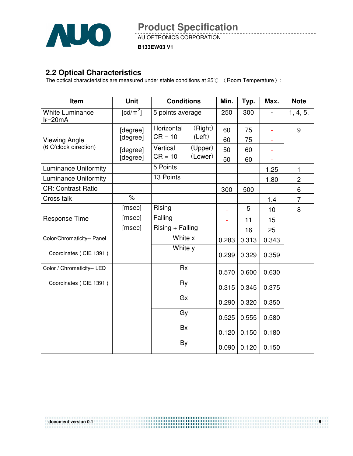

AU OPTRONICS CORPORATION

**B133EW03 V1**

### **2.2 Optical Characteristics**

The optical characteristics are measured under stable conditions at 25 $\degree$  ( Room Temperature ):

| Item                                 | <b>Unit</b>  | <b>Conditions</b>     | Min.  | Typ.  | Max.  | <b>Note</b>    |
|--------------------------------------|--------------|-----------------------|-------|-------|-------|----------------|
| <b>White Luminance</b><br>$I = 20mA$ | [ $cd/m^2$ ] | 5 points average      | 250   | 300   |       | 1, 4, 5.       |
|                                      | [degree]     | Horizontal<br>(Right) | 60    | 75    | ÷,    | 9              |
| <b>Viewing Angle</b>                 | [degree]     | (Left)<br>$CR = 10$   | 60    | 75    |       |                |
| (6 O'clock direction)                | [degree]     | (Upper)<br>Vertical   | 50    | 60    |       |                |
|                                      | [degree]     | (Lower)<br>$CR = 10$  | 50    | 60    |       |                |
| <b>Luminance Uniformity</b>          |              | 5 Points              |       |       | 1.25  | 1              |
| <b>Luminance Uniformity</b>          |              | 13 Points             |       |       | 1.80  | $\overline{c}$ |
| <b>CR: Contrast Ratio</b>            |              |                       | 300   | 500   |       | 6              |
| Cross talk                           | $\%$         |                       |       |       | 1.4   | $\overline{7}$ |
|                                      | [msec]       | Rising                | ä,    | 5     | 10    | 8              |
| <b>Response Time</b>                 | [msec]       | Falling               | ÷,    | 11    | 15    |                |
|                                      | [msec]       | $Rising + Falling$    |       | 16    | 25    |                |
| Color/Chromaticity-- Panel           |              | White x               | 0.283 | 0.313 | 0.343 |                |
| Coordinates (CIE 1391)               |              | White y               | 0.299 | 0.329 | 0.359 |                |
| Color / Chromaticity-- LED           |              | <b>Rx</b>             | 0.570 | 0.600 | 0.630 |                |
| Coordinates (CIE 1391)               |              | Ry                    | 0.315 | 0.345 | 0.375 |                |
|                                      |              | Gx                    | 0.290 | 0.320 | 0.350 |                |
|                                      |              | Gy                    | 0.525 | 0.555 | 0.580 |                |
|                                      |              | Bx                    | 0.120 | 0.150 | 0.180 |                |
|                                      |              | By                    | 0.090 | 0.120 | 0.150 |                |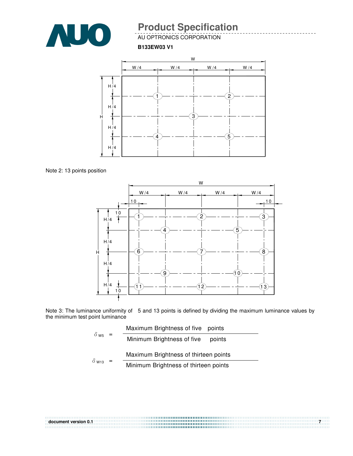

AU OPTRONICS CORPORATION

**B133EW03 V1**



Note 2: 13 points position



Note 3: The luminance uniformity of 5 and 13 points is defined by dividing the maximum luminance values by the minimum test point luminance

| $\delta$ w <sub>5</sub> =<br>$\delta$ W <sub>13</sub> | Maximum Brightness of five points     |
|-------------------------------------------------------|---------------------------------------|
|                                                       | Minimum Brightness of five<br>points  |
|                                                       | Maximum Brightness of thirteen points |
|                                                       | Minimum Brightness of thirteen points |

| document version 0.1 | $\mathbf{z}$ |
|----------------------|--------------|
|                      |              |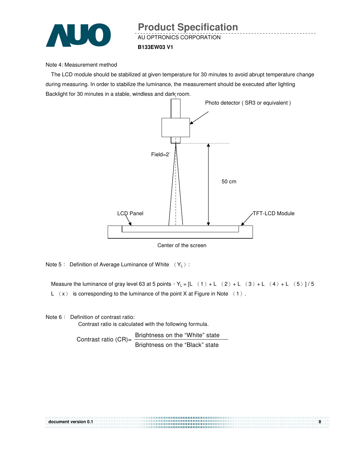

#### Note 4: Measurement method

The LCD module should be stabilized at given temperature for 30 minutes to avoid abrupt temperature change during measuring. In order to stabilize the luminance, the measurement should be executed after lighting Backlight for 30 minutes in a stable, windless and dark room.



Center of the screen

Note  $5$ : Definition of Average Luminance of White  $(Y_L)$ :

Measure the luminance of gray level 63 at 5 points  $Y_L = [L (1) + L (2) + L (3) + L (4) + L (5)]/5$ L  $(x)$  is corresponding to the luminance of the point X at Figure in Note  $(1)$ .

Note 6: Definition of contrast ratio:

Contrast ratio is calculated with the following formula.

Contrast ratio  $(CR) = \frac{Briahtness on the "White" state}$ Brightness on the "Black" state

| document version 0.1 |  |
|----------------------|--|
|                      |  |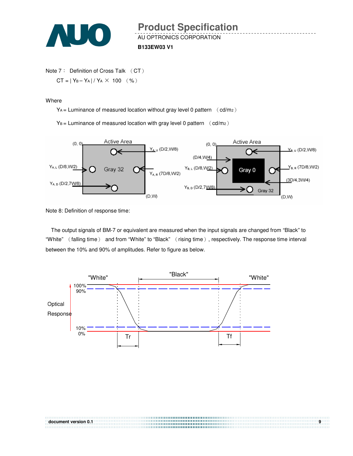

```
Note 7: Definition of Cross Talk (CT)
CT = |Y_B - Y_A| / Y_A \times 100 (%)
```
**Where** 

 $Y_A$  = Luminance of measured location without gray level 0 pattern  $\left(\text{cd/m}_2\right)$ 

 $Y_B =$  Luminance of measured location with gray level 0 pattern  $(cd/m_2)$ 



Note 8: Definition of response time:

The output signals of BM-7 or equivalent are measured when the input signals are changed from "Black" to "White" (falling time) and from "White" to "Black" (rising time), respectively. The response time interval between the 10% and 90% of amplitudes. Refer to figure as below.

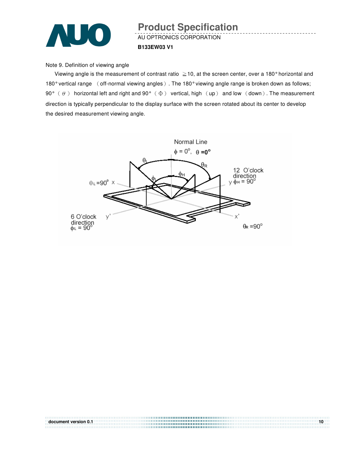

## AU OPTRONICS CORPORATION **B133EW03 V1 Product Specification**

Note 9. Definition of viewing angle

Viewing angle is the measurement of contrast ratio  $\geq$  10, at the screen center, over a 180° horizontal and 180° vertical range (off-normal viewing angles). The 180° viewing angle range is broken down as follows; 90°  $(\theta)$  horizontal left and right and 90°  $(\Phi)$  vertical, high  $(\text{up})$  and low  $(\text{down})$ . The measurement direction is typically perpendicular to the display surface with the screen rotated about its center to develop the desired measurement viewing angle.



**document version 0.1 10**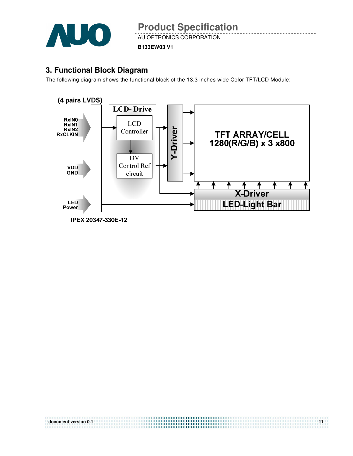

AU OPTRONICS CORPORATION

**B133EW03 V1**

### **3. Functional Block Diagram**

The following diagram shows the functional block of the 13.3 inches wide Color TFT/LCD Module:



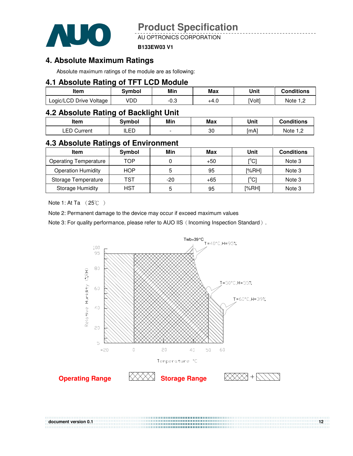

AU OPTRONICS CORPORATION

#### **B133EW03 V1**

### **4. Absolute Maximum Ratings**

Absolute maximum ratings of the module are as following:

#### **4.1 Absolute Rating of TFT LCD Module**

| ltem                    | Svmbol | Min       | Max  | Unit   | Conditions |
|-------------------------|--------|-----------|------|--------|------------|
| Logic/LCD Drive Voltage | VDD    | ົ<br>⊸.∪- | +4.U | [Volt] | Note       |

### **4.2 Absolute Rating of Backlight Unit**

| ltem           | Svmbol | Min | Max | Unit | <b>Conditions</b> |
|----------------|--------|-----|-----|------|-------------------|
| ∟ED<br>Current | ILED   |     | 30  | [mA] | Note 1 C          |

#### **4.3 Absolute Ratings of Environment**

| <b>Item</b>                  | Symbol     | Min | Max   | Unit                                    | <b>Conditions</b> |
|------------------------------|------------|-----|-------|-----------------------------------------|-------------------|
| <b>Operating Temperature</b> | TOP        |     | $+50$ | $\mathsf{I}^\circ\mathsf{C} \mathsf{I}$ | Note 3            |
| <b>Operation Humidity</b>    | <b>HOP</b> | 5   | 95    | [%RH]                                   | Note 3            |
| Storage Temperature          | TST        | -20 | $+65$ | $\mathsf{I}^\circ\mathsf{C} \mathsf{I}$ | Note 3            |
| <b>Storage Humidity</b>      | <b>HST</b> | 5   | 95    | [%RH]                                   | Note 3            |

Note 1: At Ta  $(25^{\circ}\text{C})$ 

Note 2: Permanent damage to the device may occur if exceed maximum values

Note 3: For quality performance, please refer to AUO IIS (Incoming Inspection Standard).



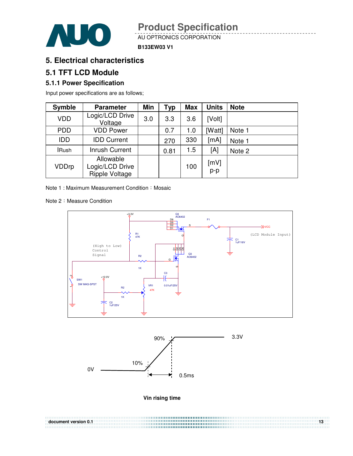

AU OPTRONICS CORPORATION

**B133EW03 V1**

### **5. Electrical characteristics**

### **5.1 TFT LCD Module**

#### **5.1.1 Power Specification**

Input power specifications are as follows;

| <b>Symble</b> | <b>Parameter</b>                                      | Min | Typ  | <b>Max</b> | <b>Units</b> | <b>Note</b> |
|---------------|-------------------------------------------------------|-----|------|------------|--------------|-------------|
| <b>VDD</b>    | Logic/LCD Drive<br>Voltage                            | 3.0 | 3.3  | 3.6        | [Volt]       |             |
| <b>PDD</b>    | <b>VDD Power</b>                                      |     | 0.7  | 1.0        | [Watt]       | Note 1      |
| <b>IDD</b>    | <b>IDD Current</b>                                    |     | 270  | 330        | [mA]         | Note 1      |
| <b>IRush</b>  | <b>Inrush Current</b>                                 |     | 0.81 | 1.5        | [A]          | Note 2      |
| VDDrp         | Allowable<br>Logic/LCD Drive<br><b>Ripple Voltage</b> |     |      | 100        | [mV]<br>p-p  |             |

Note 1 : Maximum Measurement Condition : Mosaic

Note 2: Measure Condition





**Vin rising time** 

**document version 0.1** 13<sup>3</sup>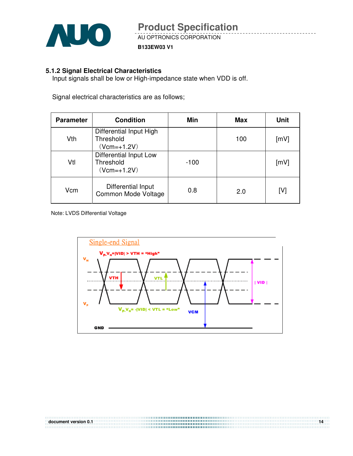

#### **5.1.2 Signal Electrical Characteristics**

Input signals shall be low or High-impedance state when VDD is off.

Signal electrical characteristics are as follows;

| <b>Parameter</b> | <b>Condition</b>                                       | Min    | Max | Unit |
|------------------|--------------------------------------------------------|--------|-----|------|
| Vth              | Differential Input High<br>Threshold<br>$(Vcm=+1.2V)$  |        | 100 | [mV] |
| Vtl              | Differential Input Low<br>Threshold<br>$(Vcm = +1.2V)$ | $-100$ |     | [mV] |
| Vcm              | Differential Input<br>Common Mode Voltage              | 0.8    | 2.0 | [V]  |

Note: LVDS Differential Voltage

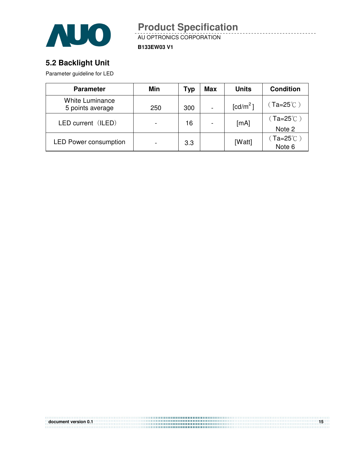

AU OPTRONICS CORPORATION **Product Specification** 

**B133EW03 V1**

## **5.2 Backlight Unit**

Parameter guideline for LED

| <b>Parameter</b>                           | Min | Typ | <b>Max</b> | <b>Units</b>       | <b>Condition</b>                         |
|--------------------------------------------|-----|-----|------------|--------------------|------------------------------------------|
| <b>White Luminance</b><br>5 points average | 250 | 300 |            | $\text{[cd/m}^2$ ] | $(Ta=25^{\circ}C)$                       |
| LED current (ILED)                         |     | 16  |            | [mA]               | (Ta=25 $^\circ\mathrm{C}$ )              |
|                                            |     |     |            |                    | Note 2                                   |
| <b>LED Power consumption</b>               |     | 3.3 |            | [Watt]             | $( Ta = 25^{\circ} \text{C} )$<br>Note 6 |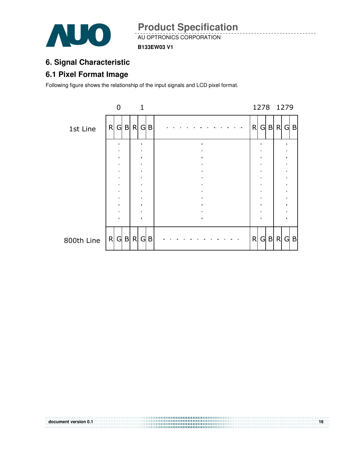

**B133EW03 V1**

## **6. Signal Characteristic**

## **6.1 Pixel Format Image**

Following figure shows the relationship of the input signals and LCD pixel format.



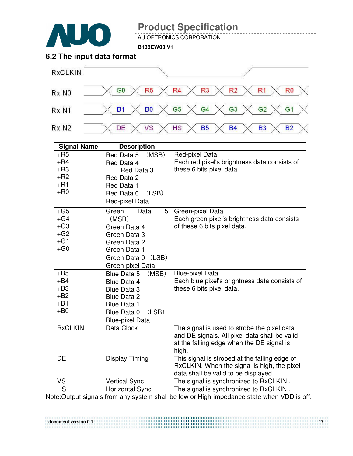

AU OPTRONICS CORPORATION

**B133EW03 V1**

## **6.2 The input data format**



| <b>Signal Name</b>                                                | <b>Description</b>                                                                                                                                      |                                                                                                                                                    |
|-------------------------------------------------------------------|---------------------------------------------------------------------------------------------------------------------------------------------------------|----------------------------------------------------------------------------------------------------------------------------------------------------|
| $+$ R5<br>$+$ R4<br>$+R3$<br>$+R2$<br>$+R1$<br>$+$ R <sub>0</sub> | Red Data 5<br>(MSB)<br>Red Data 4<br>Red Data 3<br>Red Data 2<br>Red Data 1<br>(LSB)<br>Red Data 0<br>Red-pixel Data                                    | Red-pixel Data<br>Each red pixel's brightness data consists of<br>these 6 bits pixel data.                                                         |
| $+G5$<br>$+G4$<br>$+G3$<br>$+G2$<br>$+G1$<br>$+G0$                | 5<br>Green<br>Data<br>(MSB)<br>Green Data 4<br>Green Data 3<br>Green Data 2<br>Green Data 1<br>Green Data 0<br>(LSB)<br>Green-pixel Data                | Green-pixel Data<br>Each green pixel's brightness data consists<br>of these 6 bits pixel data.                                                     |
| $+B5$<br>$+B4$<br>$+B3$<br>$+B2$<br>$+B1$<br>$+B0$                | (MSB)<br>Blue Data 5<br>Blue Data 4<br><b>Blue Data 3</b><br><b>Blue Data 2</b><br><b>Blue Data 1</b><br>(LSB)<br>Blue Data 0<br><b>Blue-pixel Data</b> | <b>Blue-pixel Data</b><br>Each blue pixel's brightness data consists of<br>these 6 bits pixel data.                                                |
| <b>RxCLKIN</b>                                                    | Data Clock                                                                                                                                              | The signal is used to strobe the pixel data<br>and DE signals. All pixel data shall be valid<br>at the falling edge when the DE signal is<br>high. |
| <b>DE</b>                                                         | <b>Display Timing</b>                                                                                                                                   | This signal is strobed at the falling edge of<br>RxCLKIN. When the signal is high, the pixel<br>data shall be valid to be displayed.               |
| VS                                                                | <b>Vertical Sync</b>                                                                                                                                    | The signal is synchronized to RxCLKIN.                                                                                                             |
| <b>HS</b>                                                         | <b>Horizontal Sync</b>                                                                                                                                  | The signal is synchronized to RxCLKIN.                                                                                                             |

Note:Output signals from any system shall be low or High-impedance state when VDD is off.

**document version 0.1** 17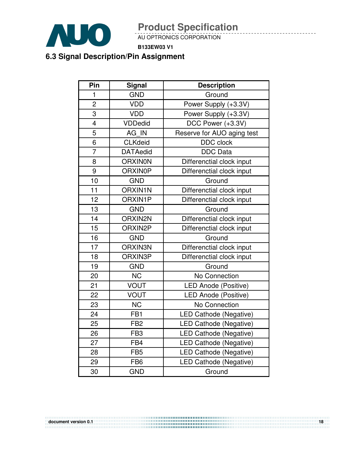

AU OPTRONICS CORPORATION

**B133EW03 V1**

## **6.3 Signal Description/Pin Assignment**

| Pin                     | <b>Signal</b>   | <b>Description</b>            |
|-------------------------|-----------------|-------------------------------|
| $\mathbf{1}$            | <b>GND</b>      | Ground                        |
| $\overline{2}$          | <b>VDD</b>      | Power Supply (+3.3V)          |
| 3                       | <b>VDD</b>      | Power Supply (+3.3V)          |
| $\overline{\mathbf{4}}$ | <b>VDDedid</b>  | DCC Power (+3.3V)             |
| 5                       | AG IN           | Reserve for AUO aging test    |
| 6                       | <b>CLKdeid</b>  | <b>DDC</b> clock              |
| $\overline{7}$          | <b>DATAedid</b> | <b>DDC</b> Data               |
| 8                       | <b>ORXINON</b>  | Differenctial clock input     |
| 9                       | <b>ORXIN0P</b>  | Differenctial clock input     |
| 10                      | <b>GND</b>      | Ground                        |
| 11                      | <b>ORXIN1N</b>  | Differenctial clock input     |
| 12                      | ORXIN1P         | Differenctial clock input     |
| 13                      | <b>GND</b>      | Ground                        |
| 14                      | ORXIN2N         | Differenctial clock input     |
| 15                      | ORXIN2P         | Differenctial clock input     |
| 16                      | <b>GND</b>      | Ground                        |
| 17                      | ORXIN3N         | Differenctial clock input     |
| 18                      | ORXIN3P         | Differenctial clock input     |
| 19                      | <b>GND</b>      | Ground                        |
| 20                      | <b>NC</b>       | No Connection                 |
| 21                      | <b>VOUT</b>     | <b>LED Anode (Positive)</b>   |
| 22                      | <b>VOUT</b>     | LED Anode (Positive)          |
| 23                      | <b>NC</b>       | No Connection                 |
| 24                      | FB <sub>1</sub> | <b>LED Cathode (Negative)</b> |
| 25                      | FB <sub>2</sub> | LED Cathode (Negative)        |
| 26                      | FB <sub>3</sub> | LED Cathode (Negative)        |
| 27                      | FB4             | LED Cathode (Negative)        |
| 28                      | FB <sub>5</sub> | LED Cathode (Negative)        |
| 29                      | FB <sub>6</sub> | <b>LED Cathode (Negative)</b> |
| 30                      | <b>GND</b>      | Ground                        |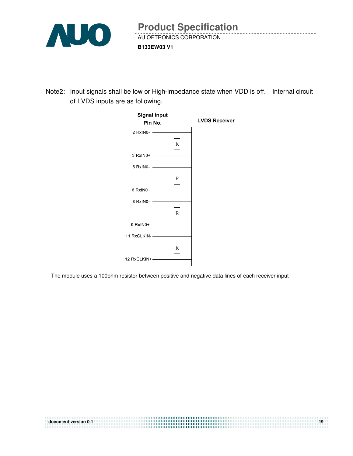

Note2: Input signals shall be low or High-impedance state when VDD is off. Internal circuit of LVDS inputs are as following.



The module uses a 100ohm resistor between positive and negative data lines of each receiver input

| document version 0.1 |  |
|----------------------|--|
|                      |  |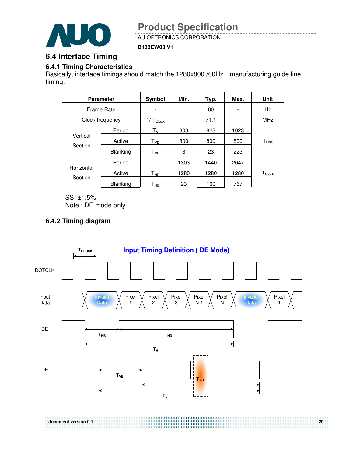

AU OPTRONICS CORPORATION

#### **B133EW03 V1**

### **6.4 Interface Timing**

#### **6.4.1 Timing Characteristics**

Basically, interface timings should match the 1280x800 /60Hz manufacturing guide line timing.

|                     | <b>Parameter</b> | Symbol                  | Min. | Typ. | Max. | <b>Unit</b>      |
|---------------------|------------------|-------------------------|------|------|------|------------------|
| Frame Rate          |                  |                         |      | 60   | ۰    | Hz               |
|                     | Clock frequency  | $1/\top_{\text{Clock}}$ |      | 71.1 |      | <b>MHz</b>       |
|                     | Period           | $T_{\rm V}$             | 803  | 823  | 1023 |                  |
| Vertical<br>Section | Active           | T <sub>VD</sub>         | 800  | 800  | 800  | $T_{Line}$       |
|                     | <b>Blanking</b>  | $T_{VB}$                | 3    | 23   | 223  |                  |
|                     | Period           | Tн                      | 1303 | 1440 | 2047 |                  |
| Horizontal          | Active           | T <sub>HD</sub>         | 1280 | 1280 | 1280 | $T_{\sf{Clock}}$ |
| Section             | <b>Blanking</b>  | Т <sub>нв</sub>         | 23   | 160  | 767  |                  |

SS: ±1.5% Note : DE mode only

#### **6.4.2 Timing diagram**

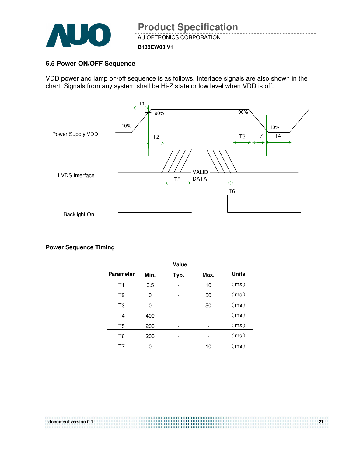

#### **B133EW03 V1**

#### **6.5 Power ON/OFF Sequence**

VDD power and lamp on/off sequence is as follows. Interface signals are also shown in the chart. Signals from any system shall be Hi-Z state or low level when VDD is off.



**Power Sequence Timing** 

| <b>Parameter</b> | Min. | Typ. | Max. | <b>Units</b> |
|------------------|------|------|------|--------------|
| T1               | 0.5  |      | 10   | (ms)         |
| T2               | 0    |      | 50   | (ms)         |
| T3               | 0    |      | 50   | (ms)         |
| T <sub>4</sub>   | 400  |      |      | (ms)         |
| T <sub>5</sub>   | 200  |      |      | (ms)         |
| T6               | 200  |      |      | (ms)         |
| T7               | ი    |      | 10   | (ms)         |

**document version 0.1** 21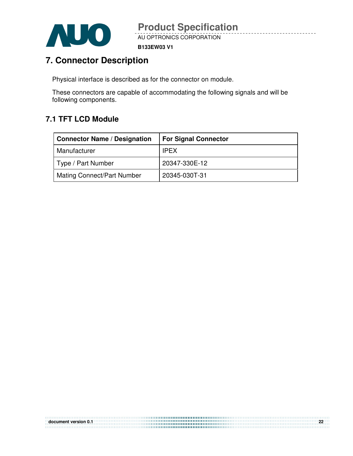

**B133EW03 V1**

## **7. Connector Description**

Physical interface is described as for the connector on module.

These connectors are capable of accommodating the following signals and will be following components.

## **7.1 TFT LCD Module**

| <b>Connector Name / Designation</b> | <b>For Signal Connector</b> |
|-------------------------------------|-----------------------------|
| Manufacturer                        | <b>IPEX</b>                 |
| Type / Part Number                  | 20347-330E-12               |
| <b>Mating Connect/Part Number</b>   | 20345-030T-31               |

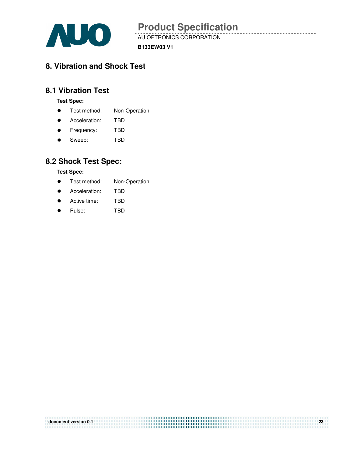

AU OPTRONICS CORPORATION

**B133EW03 V1**

## **8. Vibration and Shock Test**

### **8.1 Vibration Test**

**Test Spec:** 

- **•** Test method: Non-Operation
- Acceleration: TBD
- **•** Frequency: TBD
- Sweep: TBD

### **8.2 Shock Test Spec:**

**Test Spec:** 

- **•** Test method: Non-Operation
- **•** Acceleration: TBD
- Active time: TBD
- Pulse: TBD

| document version 0.1 | ່າາ |
|----------------------|-----|
|                      |     |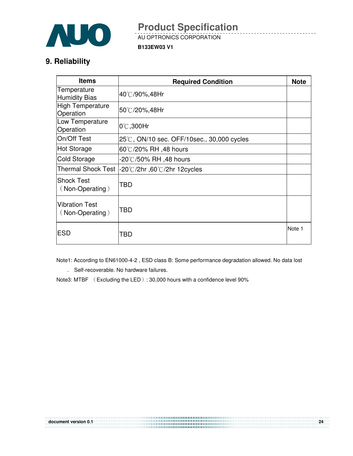

AU OPTRONICS CORPORATION

**B133EW03 V1**

## **9. Reliability**

| <b>Items</b>                             | <b>Required Condition</b>                 | <b>Note</b> |
|------------------------------------------|-------------------------------------------|-------------|
| Temperature<br>Humidity Bias             | 40℃/90%,48Hr                              |             |
| High Temperature<br>Operation            | 50℃/20%,48Hr                              |             |
| Low Temperature<br>Operation             | $0^{\circ}$ C,300Hr                       |             |
| On/Off Test                              | 25℃, ON/10 sec. OFF/10sec., 30,000 cycles |             |
| Hot Storage                              | 60°C/20% RH ,48 hours                     |             |
| <b>Cold Storage</b>                      | -20℃/50% RH ,48 hours                     |             |
| <b>Thermal Shock Test</b>                | l-20℃/2hr ,60℃/2hr 12cycles               |             |
| Shock Test<br>(Non-Operating)            | TBD                                       |             |
| <b>Vibration Test</b><br>(Non-Operating) | TBD                                       |             |
| <b>ESD</b>                               | TBD                                       | Note 1      |

Note1: According to EN61000-4-2 , ESD class B: Some performance degradation allowed. No data lost

. Self-recoverable. No hardware failures.

Note3: MTBF (Excluding the LED): 30,000 hours with a confidence level 90%

| document version 0.1 | 24 |  |
|----------------------|----|--|
|                      |    |  |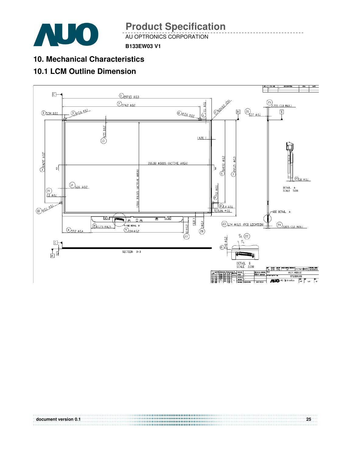

AU OPTRONICS CORPORATION

**B133EW03 V1**

## **10. Mechanical Characteristics**

## **10.1 LCM Outline Dimension**



**document version 0.1 25**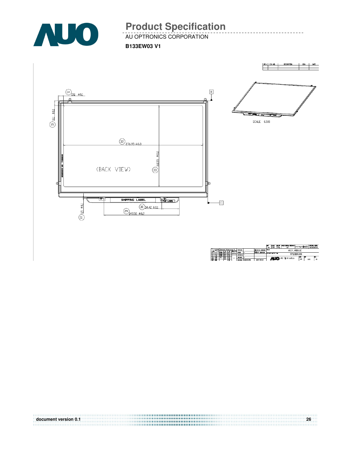

AU OPTRONICS CORPORATION

**B133EW03 V1**



**document version 0.1 26**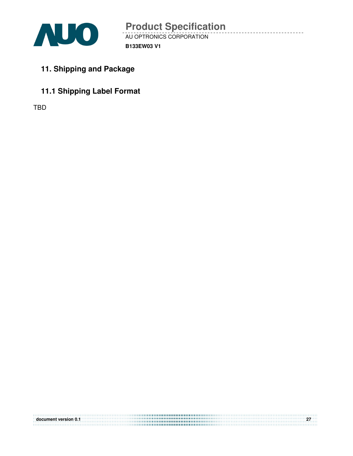

- **11. Shipping and Package**
- **11.1 Shipping Label Format**

TBD

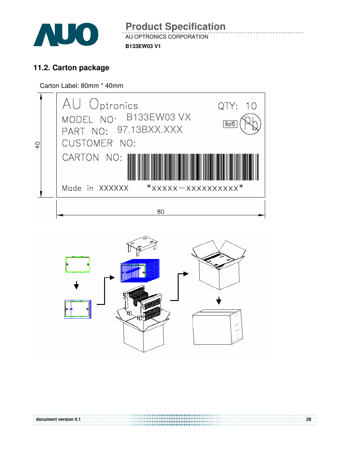

AU OPTRONICS CORPORATION **B133EW03 V1 Product Specification** 

## **11.2. Carton package**

Carton Label: 80mm \* 40mm





**document version 0.1 28**